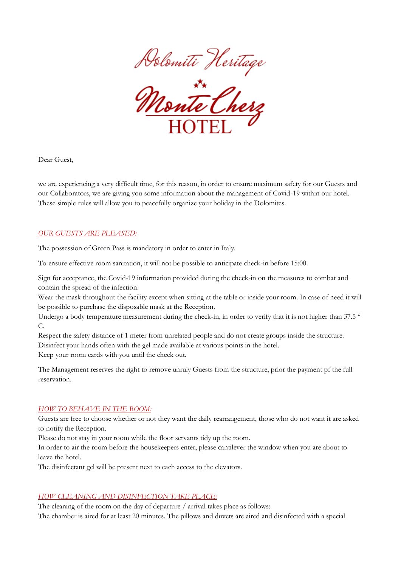



Dear Guest,

we are experiencing a very difficult time, for this reason, in order to ensure maximum safety for our Guests and our Collaborators, we are giving you some information about the management of Covid-19 within our hotel. These simple rules will allow you to peacefully organize your holiday in the Dolomites.

### *OUR GUESTS ARE PLEASED:*

The possession of Green Pass is mandatory in order to enter in Italy.

To ensure effective room sanitation, it will not be possible to anticipate check-in before 15:00.

Sign for acceptance, the Covid-19 information provided during the check-in on the measures to combat and contain the spread of the infection.

Wear the mask throughout the facility except when sitting at the table or inside your room. In case of need it will be possible to purchase the disposable mask at the Reception.

Undergo a body temperature measurement during the check-in, in order to verify that it is not higher than 37.5 ° C.

Respect the safety distance of 1 meter from unrelated people and do not create groups inside the structure. Disinfect your hands often with the gel made available at various points in the hotel. Keep your room cards with you until the check out.

The Management reserves the right to remove unruly Guests from the structure, prior the payment pf the full reservation.

### *HOW TO BEHAVE IN THE ROOM:*

Guests are free to choose whether or not they want the daily rearrangement, those who do not want it are asked to notify the Reception.

Please do not stay in your room while the floor servants tidy up the room.

In order to air the room before the housekeepers enter, please cantilever the window when you are about to leave the hotel.

The disinfectant gel will be present next to each access to the elevators.

## *HOW CLEANING AND DISINFECTION TAKE PLACE:*

The cleaning of the room on the day of departure / arrival takes place as follows: The chamber is aired for at least 20 minutes. The pillows and duvets are aired and disinfected with a special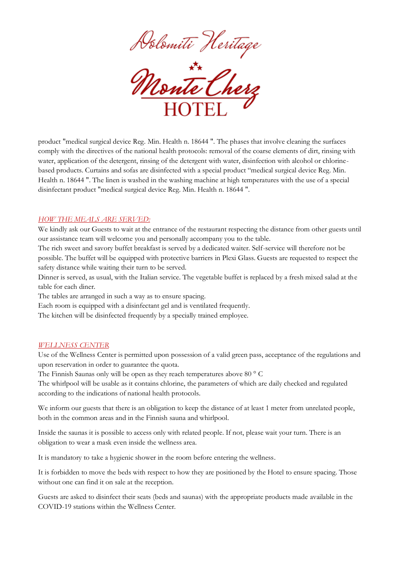



product "medical surgical device Reg. Min. Health n. 18644 ". The phases that involve cleaning the surfaces comply with the directives of the national health protocols: removal of the coarse elements of dirt, rinsing with water, application of the detergent, rinsing of the detergent with water, disinfection with alcohol or chlorinebased products. Curtains and sofas are disinfected with a special product "medical surgical device Reg. Min. Health n. 18644 ". The linen is washed in the washing machine at high temperatures with the use of a special disinfectant product "medical surgical device Reg. Min. Health n. 18644 ".

### *HOW THE MEALS ARE SERVED:*

We kindly ask our Guests to wait at the entrance of the restaurant respecting the distance from other guests until our assistance team will welcome you and personally accompany you to the table.

The rich sweet and savory buffet breakfast is served by a dedicated waiter. Self-service will therefore not be possible. The buffet will be equipped with protective barriers in Plexi Glass. Guests are requested to respect the safety distance while waiting their turn to be served.

Dinner is served, as usual, with the Italian service. The vegetable buffet is replaced by a fresh mixed salad at the table for each diner.

The tables are arranged in such a way as to ensure spacing.

Each room is equipped with a disinfectant gel and is ventilated frequently.

The kitchen will be disinfected frequently by a specially trained employee.

#### *WELLNESS CENTER*

Use of the Wellness Center is permitted upon possession of a valid green pass, acceptance of the regulations and upon reservation in order to guarantee the quota.

The Finnish Saunas only will be open as they reach temperatures above 80 ° C

The whirlpool will be usable as it contains chlorine, the parameters of which are daily checked and regulated according to the indications of national health protocols.

We inform our guests that there is an obligation to keep the distance of at least 1 meter from unrelated people, both in the common areas and in the Finnish sauna and whirlpool.

Inside the saunas it is possible to access only with related people. If not, please wait your turn. There is an obligation to wear a mask even inside the wellness area.

It is mandatory to take a hygienic shower in the room before entering the wellness.

It is forbidden to move the beds with respect to how they are positioned by the Hotel to ensure spacing. Those without one can find it on sale at the reception.

Guests are asked to disinfect their seats (beds and saunas) with the appropriate products made available in the COVID-19 stations within the Wellness Center.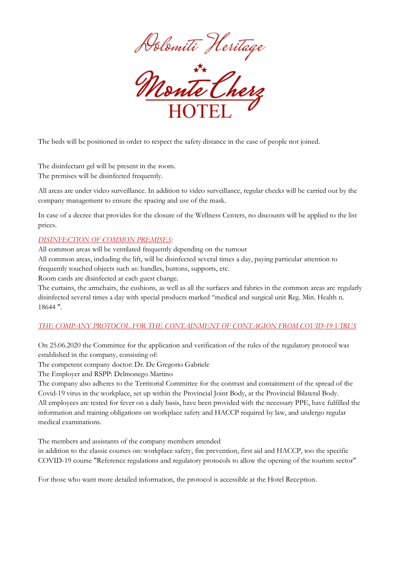



The beds will be positioned in order to respect the safety distance in the case of people not joined.

The disinfectant gel will be present in the room. The premises will be disinfected frequently.

All areas are under video surveillance. In addition to video surveillance, regular checks will be carried out by the company management to ensure the spacing and use of the mask.

In case of a decree that provides for the closure of the Wellness Centers, no discounts will be applied to the list prices.

## *DISINFECTION OF COMMON PREMISES*:

All common areas will be ventilated frequently depending on the turnout All common areas, including the lift, will be disinfected several times a day, paying particular attention to frequently touched objects such as: handles, buttons, supports, etc.

Room cards are disinfected at each guest change.

The curtains, the armchairs, the cushions, as well as all the surfaces and fabrics in the common areas are regularly disinfected several times a day with special products marked "medical and surgical unit Reg. Min. Health n. 18644 ".

## *THE COMPANY PROTOCOL FOR THE CONTAINMENT OF CONTAGION FROM COVID-19 VIRUS*

On 25.06.2020 the Committee for the application and verification of the rules of the regulatory protocol was established in the company, consisting of:

The competent company doctor: Dr. De Gregorio Gabriele

The Employer and RSPP: Delmonego Martino

The company also adheres to the Territorial Committee for the contrast and containment of the spread of the Covid-19 virus in the workplace, set up within the Provincial Joint Body, at the Provincial Bilateral Body. All employees are tested for fever on a daily basis, have been provided with the necessary PPE, have fulfilled the information and training obligations on workplace safety and HACCP required by law, and undergo regular medical examinations.

The members and assistants of the company members attended

in addition to the classic courses on: workplace safety, fire prevention, first aid and HACCP, too the specific COVID-19 course "Reference regulations and regulatory protocols to allow the opening of the tourism sector"

For those who want more detailed information, the protocol is accessible at the Hotel Reception.